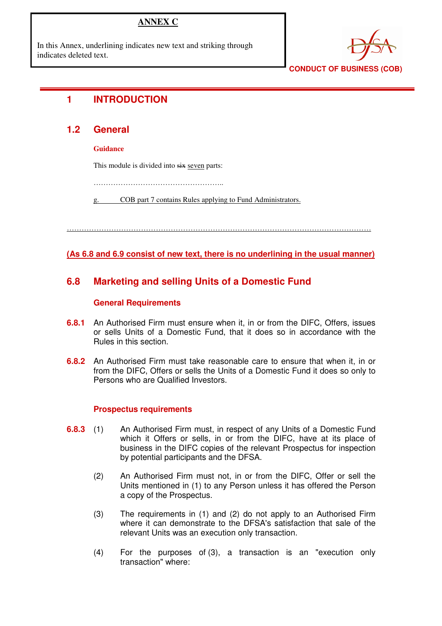# **ANNEX C**

In this Annex, underlining indicates new text and striking through indicates deleted text.



**CONDUCT OF BUSINESS (COB)** 

# **1 INTRODUCTION**

## **1.2 General**

### **Guidance**

This module is divided into six seven parts:

……………………………………………..

COB part 7 contains Rules applying to Fund Administrators.

……………………………………………………………………………………………………………

### **(As 6.8 and 6.9 consist of new text, there is no underlining in the usual manner)**

## **6.8 Marketing and selling Units of a Domestic Fund**

### **General Requirements**

- **6.8.1** An Authorised Firm must ensure when it, in or from the DIFC, Offers, issues or sells Units of a Domestic Fund, that it does so in accordance with the Rules in this section.
- **6.8.2** An Authorised Firm must take reasonable care to ensure that when it, in or from the DIFC, Offers or sells the Units of a Domestic Fund it does so only to Persons who are Qualified Investors.

### **Prospectus requirements**

- **6.8.3** (1) An Authorised Firm must, in respect of any Units of a Domestic Fund which it Offers or sells, in or from the DIFC, have at its place of business in the DIFC copies of the relevant Prospectus for inspection by potential participants and the DFSA.
	- (2) An Authorised Firm must not, in or from the DIFC, Offer or sell the Units mentioned in (1) to any Person unless it has offered the Person a copy of the Prospectus.
	- (3) The requirements in (1) and (2) do not apply to an Authorised Firm where it can demonstrate to the DFSA's satisfaction that sale of the relevant Units was an execution only transaction.
	- (4) For the purposes of (3), a transaction is an "execution only transaction" where: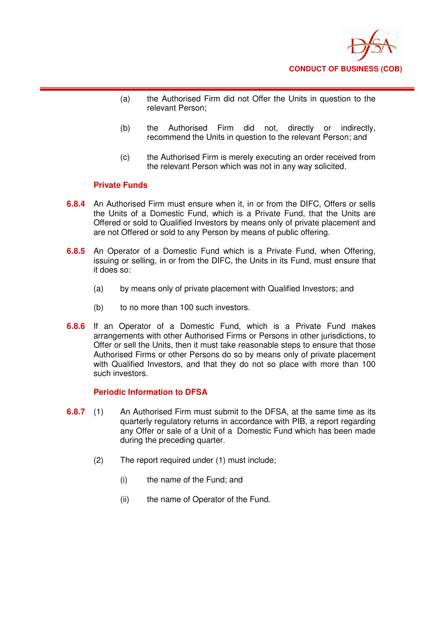

- (a) the Authorised Firm did not Offer the Units in question to the relevant Person;
- (b) the Authorised Firm did not, directly or indirectly, recommend the Units in question to the relevant Person; and
- (c) the Authorised Firm is merely executing an order received from the relevant Person which was not in any way solicited.

### **Private Funds**

- **6.8.4** An Authorised Firm must ensure when it, in or from the DIFC, Offers or sells the Units of a Domestic Fund, which is a Private Fund, that the Units are Offered or sold to Qualified Investors by means only of private placement and are not Offered or sold to any Person by means of public offering.
- **6.8.5** An Operator of a Domestic Fund which is a Private Fund, when Offering, issuing or selling, in or from the DIFC, the Units in its Fund, must ensure that it does so:
	- (a) by means only of private placement with Qualified Investors; and
	- (b) to no more than 100 such investors.
- **6.8.6** If an Operator of a Domestic Fund, which is a Private Fund makes arrangements with other Authorised Firms or Persons in other jurisdictions, to Offer or sell the Units, then it must take reasonable steps to ensure that those Authorised Firms or other Persons do so by means only of private placement with Qualified Investors, and that they do not so place with more than 100 such investors.

#### **Periodic Information to DFSA**

- **6.8.7** (1) An Authorised Firm must submit to the DFSA, at the same time as its quarterly regulatory returns in accordance with PIB, a report regarding any Offer or sale of a Unit of a Domestic Fund which has been made during the preceding quarter.
	- (2) The report required under (1) must include;
		- (i) the name of the Fund; and
		- (ii) the name of Operator of the Fund.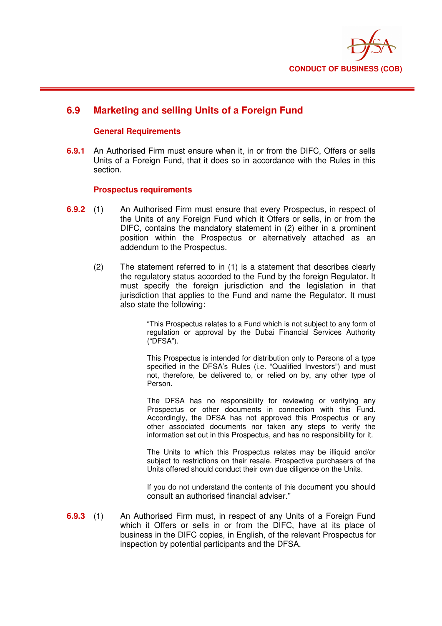

## **6.9 Marketing and selling Units of a Foreign Fund**

### **General Requirements**

**6.9.1** An Authorised Firm must ensure when it, in or from the DIFC, Offers or sells Units of a Foreign Fund, that it does so in accordance with the Rules in this section.

### **Prospectus requirements**

- **6.9.2** (1) An Authorised Firm must ensure that every Prospectus, in respect of the Units of any Foreign Fund which it Offers or sells, in or from the DIFC, contains the mandatory statement in (2) either in a prominent position within the Prospectus or alternatively attached as an addendum to the Prospectus.
	- (2) The statement referred to in (1) is a statement that describes clearly the regulatory status accorded to the Fund by the foreign Regulator. It must specify the foreign jurisdiction and the legislation in that jurisdiction that applies to the Fund and name the Regulator. It must also state the following:

"This Prospectus relates to a Fund which is not subject to any form of regulation or approval by the Dubai Financial Services Authority ("DFSA").

This Prospectus is intended for distribution only to Persons of a type specified in the DFSA's Rules (i.e. "Qualified Investors") and must not, therefore, be delivered to, or relied on by, any other type of Person.

The DFSA has no responsibility for reviewing or verifying any Prospectus or other documents in connection with this Fund. Accordingly, the DFSA has not approved this Prospectus or any other associated documents nor taken any steps to verify the information set out in this Prospectus, and has no responsibility for it.

The Units to which this Prospectus relates may be illiquid and/or subject to restrictions on their resale. Prospective purchasers of the Units offered should conduct their own due diligence on the Units.

If you do not understand the contents of this document you should consult an authorised financial adviser."

**6.9.3** (1) An Authorised Firm must, in respect of any Units of a Foreign Fund which it Offers or sells in or from the DIFC, have at its place of business in the DIFC copies, in English, of the relevant Prospectus for inspection by potential participants and the DFSA.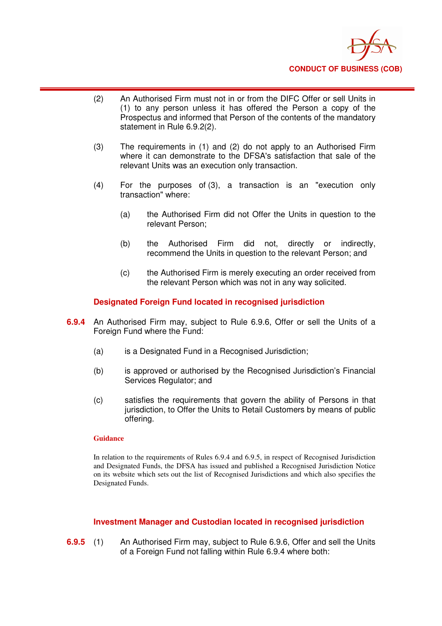

- (2) An Authorised Firm must not in or from the DIFC Offer or sell Units in (1) to any person unless it has offered the Person a copy of the Prospectus and informed that Person of the contents of the mandatory statement in Rule 6.9.2(2).
- (3) The requirements in (1) and (2) do not apply to an Authorised Firm where it can demonstrate to the DFSA's satisfaction that sale of the relevant Units was an execution only transaction.
- (4) For the purposes of (3), a transaction is an "execution only transaction" where:
	- (a) the Authorised Firm did not Offer the Units in question to the relevant Person;
	- (b) the Authorised Firm did not, directly or indirectly, recommend the Units in question to the relevant Person; and
	- (c) the Authorised Firm is merely executing an order received from the relevant Person which was not in any way solicited.

### **Designated Foreign Fund located in recognised jurisdiction**

- **6.9.4** An Authorised Firm may, subject to Rule 6.9.6, Offer or sell the Units of a Foreign Fund where the Fund:
	- (a) is a Designated Fund in a Recognised Jurisdiction;
	- (b) is approved or authorised by the Recognised Jurisdiction's Financial Services Regulator; and
	- (c) satisfies the requirements that govern the ability of Persons in that jurisdiction, to Offer the Units to Retail Customers by means of public offering.

#### **Guidance**

In relation to the requirements of Rules 6.9.4 and 6.9.5, in respect of Recognised Jurisdiction and Designated Funds, the DFSA has issued and published a Recognised Jurisdiction Notice on its website which sets out the list of Recognised Jurisdictions and which also specifies the Designated Funds.

#### **Investment Manager and Custodian located in recognised jurisdiction**

**6.9.5** (1) An Authorised Firm may, subject to Rule 6.9.6, Offer and sell the Units of a Foreign Fund not falling within Rule 6.9.4 where both: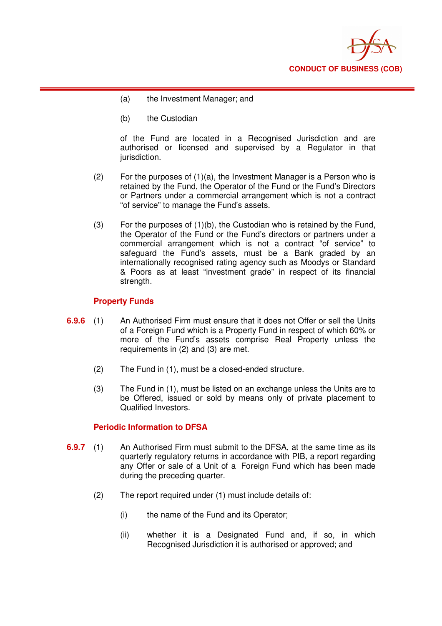

- (a) the Investment Manager; and
- (b) the Custodian

of the Fund are located in a Recognised Jurisdiction and are authorised or licensed and supervised by a Regulator in that jurisdiction.

- (2) For the purposes of (1)(a), the Investment Manager is a Person who is retained by the Fund, the Operator of the Fund or the Fund's Directors or Partners under a commercial arrangement which is not a contract "of service" to manage the Fund's assets.
- $(3)$  For the purposes of  $(1)(b)$ , the Custodian who is retained by the Fund, the Operator of the Fund or the Fund's directors or partners under a commercial arrangement which is not a contract "of service" to safeguard the Fund's assets, must be a Bank graded by an internationally recognised rating agency such as Moodys or Standard & Poors as at least "investment grade" in respect of its financial strength.

### **Property Funds**

- **6.9.6** (1) An Authorised Firm must ensure that it does not Offer or sell the Units of a Foreign Fund which is a Property Fund in respect of which 60% or more of the Fund's assets comprise Real Property unless the requirements in (2) and (3) are met.
	- (2) The Fund in (1), must be a closed-ended structure.
	- (3) The Fund in (1), must be listed on an exchange unless the Units are to be Offered, issued or sold by means only of private placement to Qualified Investors.

### **Periodic Information to DFSA**

- **6.9.7** (1) An Authorised Firm must submit to the DFSA, at the same time as its quarterly regulatory returns in accordance with PIB, a report regarding any Offer or sale of a Unit of a Foreign Fund which has been made during the preceding quarter.
	- (2) The report required under (1) must include details of:
		- (i) the name of the Fund and its Operator;
		- (ii) whether it is a Designated Fund and, if so, in which Recognised Jurisdiction it is authorised or approved; and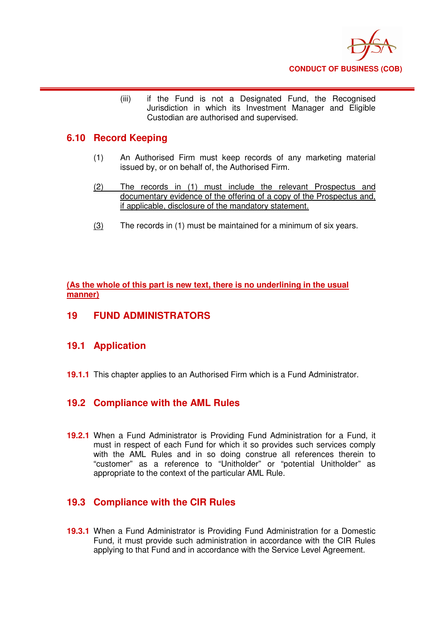

(iii) if the Fund is not a Designated Fund, the Recognised Jurisdiction in which its Investment Manager and Eligible Custodian are authorised and supervised.

## **6.10 Record Keeping**

- (1) An Authorised Firm must keep records of any marketing material issued by, or on behalf of, the Authorised Firm.
- (2) The records in (1) must include the relevant Prospectus and documentary evidence of the offering of a copy of the Prospectus and, if applicable, disclosure of the mandatory statement.
- (3) The records in (1) must be maintained for a minimum of six years.

**(As the whole of this part is new text, there is no underlining in the usual manner)**

### **19 FUND ADMINISTRATORS**

## **19.1 Application**

**19.1.1** This chapter applies to an Authorised Firm which is a Fund Administrator.

## **19.2 Compliance with the AML Rules**

**19.2.1** When a Fund Administrator is Providing Fund Administration for a Fund, it must in respect of each Fund for which it so provides such services comply with the AML Rules and in so doing construe all references therein to "customer" as a reference to "Unitholder" or "potential Unitholder" as appropriate to the context of the particular AML Rule.

## **19.3 Compliance with the CIR Rules**

**19.3.1** When a Fund Administrator is Providing Fund Administration for a Domestic Fund, it must provide such administration in accordance with the CIR Rules applying to that Fund and in accordance with the Service Level Agreement.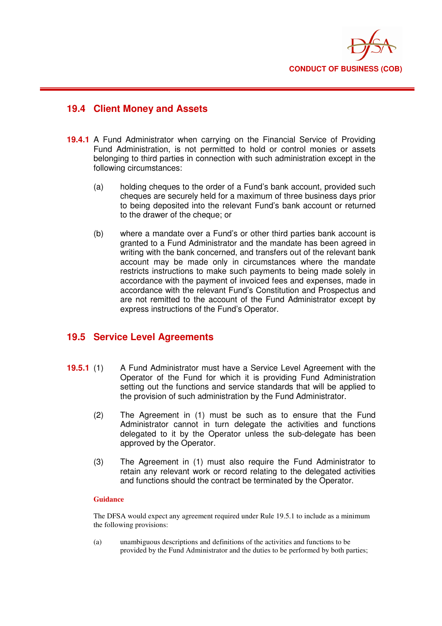

## **19.4 Client Money and Assets**

- **19.4.1** A Fund Administrator when carrying on the Financial Service of Providing Fund Administration, is not permitted to hold or control monies or assets belonging to third parties in connection with such administration except in the following circumstances:
	- (a) holding cheques to the order of a Fund's bank account, provided such cheques are securely held for a maximum of three business days prior to being deposited into the relevant Fund's bank account or returned to the drawer of the cheque; or
	- (b) where a mandate over a Fund's or other third parties bank account is granted to a Fund Administrator and the mandate has been agreed in writing with the bank concerned, and transfers out of the relevant bank account may be made only in circumstances where the mandate restricts instructions to make such payments to being made solely in accordance with the payment of invoiced fees and expenses, made in accordance with the relevant Fund's Constitution and Prospectus and are not remitted to the account of the Fund Administrator except by express instructions of the Fund's Operator.

## **19.5 Service Level Agreements**

- **19.5.1** (1) A Fund Administrator must have a Service Level Agreement with the Operator of the Fund for which it is providing Fund Administration setting out the functions and service standards that will be applied to the provision of such administration by the Fund Administrator.
	- (2) The Agreement in (1) must be such as to ensure that the Fund Administrator cannot in turn delegate the activities and functions delegated to it by the Operator unless the sub-delegate has been approved by the Operator.
	- (3) The Agreement in (1) must also require the Fund Administrator to retain any relevant work or record relating to the delegated activities and functions should the contract be terminated by the Operator.

#### **Guidance**

The DFSA would expect any agreement required under Rule 19.5.1 to include as a minimum the following provisions:

(a) unambiguous descriptions and definitions of the activities and functions to be provided by the Fund Administrator and the duties to be performed by both parties;